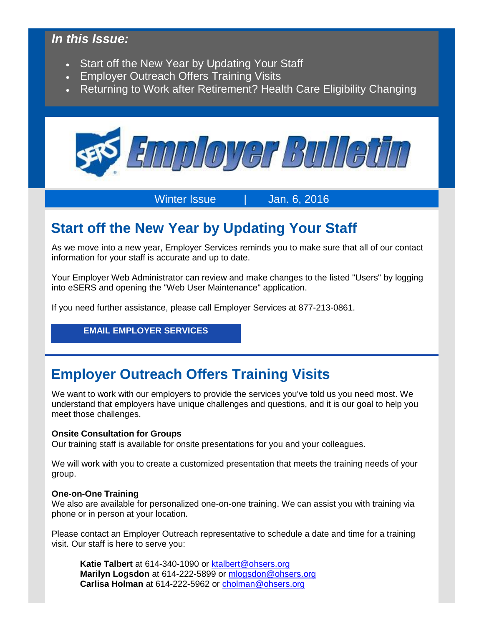#### *In this Issue:*

- Start off the New Year by Updating Your Staff
- Employer Outreach Offers Training Visits
- Returning to Work after Retirement? Health Care Eligibility Changing



Winter Issue | Jan. 6, 2016

# **Start off the New Year by Updating Your Staff**

As we move into a new year, Employer Services reminds you to make sure that all of our contact information for your staff is accurate and up to date.

Your Employer Web Administrator can review and make changes to the listed "Users" by logging into eSERS and opening the "Web User Maintenance" application.

If you need further assistance, please call Employer Services at 877-213-0861.

**[EMAIL EMPLOYER SERVICES](mailto:employerservices@ohsers.org)**

## **Employer Outreach Offers Training Visits**

We want to work with our employers to provide the services you've told us you need most. We understand that employers have unique challenges and questions, and it is our goal to help you meet those challenges.

#### **Onsite Consultation for Groups**

Our training staff is available for onsite presentations for you and your colleagues.

We will work with you to create a customized presentation that meets the training needs of your group.

#### **One-on-One Training**

We also are available for personalized one-on-one training. We can assist you with training via phone or in person at your location.

Please contact an Employer Outreach representative to schedule a date and time for a training visit. Our staff is here to serve you:

Katie Talbert at 614-340-1090 or [ktalbert@ohsers.org](mailto:ktalbert@ohsers.org) **Marilyn Logsdon** at 614-222-5899 or [mlogsdon@ohsers.org](mailto:mlogsdon@ohsers.org) **Carlisa Holman** at 614-222-5962 or [cholman@ohsers.org](mailto:cholman@ohsers.org)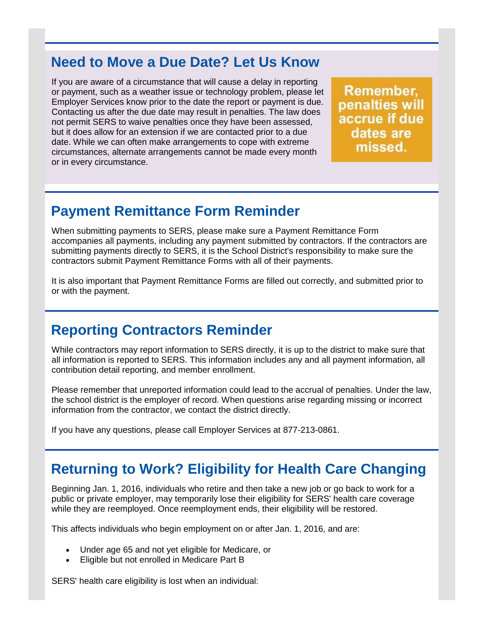### **Need to Move a Due Date? Let Us Know**

If you are aware of a circumstance that will cause a delay in reporting or payment, such as a weather issue or technology problem, please let Employer Services know prior to the date the report or payment is due. Contacting us after the due date may result in penalties. The law does not permit SERS to waive penalties once they have been assessed, but it does allow for an extension if we are contacted prior to a due date. While we can often make arrangements to cope with extreme circumstances, alternate arrangements cannot be made every month or in every circumstance.

Remember. penalties will accrue if due dates are missed.

## **Payment Remittance Form Reminder**

When submitting payments to SERS, please make sure a Payment Remittance Form accompanies all payments, including any payment submitted by contractors. If the contractors are submitting payments directly to SERS, it is the School District's responsibility to make sure the contractors submit Payment Remittance Forms with all of their payments.

It is also important that Payment Remittance Forms are filled out correctly, and submitted prior to or with the payment.

### **Reporting Contractors Reminder**

While contractors may report information to SERS directly, it is up to the district to make sure that all information is reported to SERS. This information includes any and all payment information, all contribution detail reporting, and member enrollment.

Please remember that unreported information could lead to the accrual of penalties. Under the law, the school district is the employer of record. When questions arise regarding missing or incorrect information from the contractor, we contact the district directly.

If you have any questions, please call Employer Services at 877-213-0861.

### **Returning to Work? Eligibility for Health Care Changing**

Beginning Jan. 1, 2016, individuals who retire and then take a new job or go back to work for a public or private employer, may temporarily lose their eligibility for SERS' health care coverage while they are reemployed. Once reemployment ends, their eligibility will be restored.

This affects individuals who begin employment on or after Jan. 1, 2016, and are:

- Under age 65 and not yet eligible for Medicare, or
- Eligible but not enrolled in Medicare Part B

SERS' health care eligibility is lost when an individual: